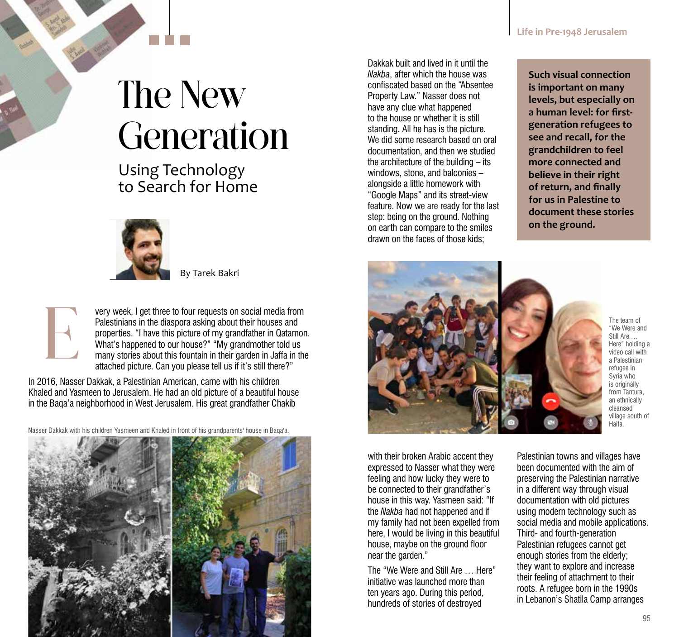## The New Generation

## Using Technology to Search for Home



By Tarek Bakri



very week, I get three to four requests on social media from Palestinians in the diaspora asking about their houses and properties. "I have this picture of my grandfather in Qatamon. What's happened to our house?" "My grandmother told us many stories about this fountain in their garden in Jaffa in the attached picture. Can you please tell us if it's still there?"

In 2016, Nasser Dakkak, a Palestinian American, came with his children Khaled and Yasmeen to Jerusalem. He had an old picture of a beautiful house in the Baqa'a neighborhood in West Jerusalem. His great grandfather Chakib

Nasser Dakkak with his children Yasmeen and Khaled in front of his grandparents' house in Baqa'a.



Dakkak built and lived in it until the *Nakba*, after which the house was confiscated based on the "Absentee Property Law." Nasser does not have any clue what happened to the house or whether it is still standing. All he has is the picture. We did some research based on oral documentation, and then we studied the architecture of the building – its windows, stone, and balconies – alongside a little homework with "Google Maps" and its street-view feature. Now we are ready for the last step: being on the ground. Nothing on earth can compare to the smiles drawn on the faces of those kids;

**Such visual connection is important on many levels, but especially on a human level: for firstgeneration refugees to see and recall, for the grandchildren to feel more connected and believe in their right of return, and finally for us in Palestine to document these stories on the ground.**



The team of "We Were and Still Are … Here" holding a video call with a Palestinian refugee in Syria who is originally from Tantura, an ethnically cleansed village south of Haifa.

with their broken Arabic accent they expressed to Nasser what they were feeling and how lucky they were to be connected to their grandfather's house in this way. Yasmeen said: "If the *Nakba* had not happened and if my family had not been expelled from here, I would be living in this beautiful house, maybe on the ground floor near the garden."

The "We Were and Still Are … Here" initiative was launched more than ten years ago. During this period, hundreds of stories of destroyed

Palestinian towns and villages have been documented with the aim of preserving the Palestinian narrative in a different way through visual documentation with old pictures using modern technology such as social media and mobile applications. Third- and fourth-generation Palestinian refugees cannot get enough stories from the elderly; they want to explore and increase their feeling of attachment to their roots. A refugee born in the 1990s in Lebanon's Shatila Camp arranges